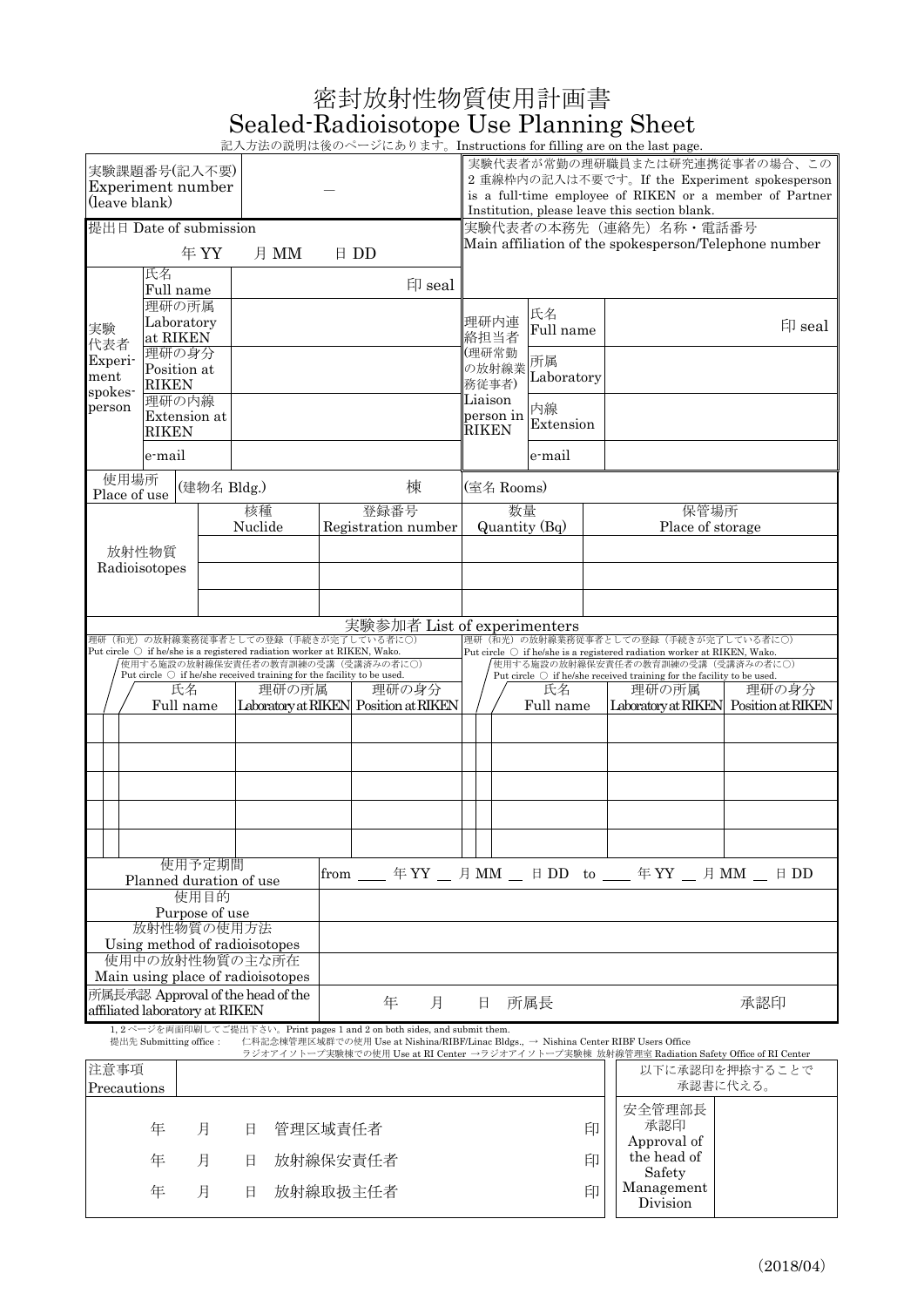| 密封放射性物質使用計画書                           |  |
|----------------------------------------|--|
| Sealed-Radioisotope Use Planning Sheet |  |

| 記入方法の説明は後のページにあります。Instructions for filling are on the last page. |
|-------------------------------------------------------------------|

| ロロノヘノノコム マノ 叩い ソコモ み レメ マノ<br>実験課題番号(記入不要)<br>Experiment number<br>(leave blank)                                                                                                           |                                                                                                               |               |                                                                                                                       |                             |                             |                                    | They actions for mining are on the last page.<br>実験代表者が常勤の理研職員または研究連携従事者の場合、この<br>2 重線枠内の記入は不要です。If the Experiment spokesperson<br>is a full-time employee of RIKEN or a member of Partner<br>Institution, please leave this section blank. |                 |                          |                                                                                                                       |        |
|--------------------------------------------------------------------------------------------------------------------------------------------------------------------------------------------|---------------------------------------------------------------------------------------------------------------|---------------|-----------------------------------------------------------------------------------------------------------------------|-----------------------------|-----------------------------|------------------------------------|---------------------------------------------------------------------------------------------------------------------------------------------------------------------------------------------------------------------------------------------|-----------------|--------------------------|-----------------------------------------------------------------------------------------------------------------------|--------|
| 提出日 Date of submission<br>年YY<br>月 MM<br>$\boxplus$ DD                                                                                                                                     |                                                                                                               |               |                                                                                                                       |                             |                             |                                    | 実験代表者の本務先(連絡先)名称・電話番号<br>Main affiliation of the spokesperson/Telephone number                                                                                                                                                              |                 |                          |                                                                                                                       |        |
|                                                                                                                                                                                            | 氏名<br>Full name                                                                                               |               |                                                                                                                       | 印 seal                      |                             |                                    |                                                                                                                                                                                                                                             |                 |                          |                                                                                                                       |        |
| 実験<br>代表者                                                                                                                                                                                  | 理研の所属<br>Laboratory<br>at RIKEN                                                                               |               |                                                                                                                       |                             |                             |                                    | 理研内連<br>絡担当者                                                                                                                                                                                                                                | 氏名<br>Full name |                          |                                                                                                                       | 印 seal |
| <b>Experi-</b><br>ment<br>spokes-                                                                                                                                                          | 理研の身分<br>Position at<br><b>RIKEN</b><br>理研の内線                                                                 |               |                                                                                                                       |                             |                             | (理研常勤<br>の放射線業<br>務従事者)<br>Liaison | 所属<br>Laboratory                                                                                                                                                                                                                            |                 |                          |                                                                                                                       |        |
| person                                                                                                                                                                                     | Extension at<br><b>RIKEN</b>                                                                                  |               |                                                                                                                       |                             |                             |                                    | person in<br><b>RIKEN</b>                                                                                                                                                                                                                   | 内線<br>Extension |                          |                                                                                                                       |        |
|                                                                                                                                                                                            | e-mail                                                                                                        |               |                                                                                                                       |                             |                             |                                    | e-mail                                                                                                                                                                                                                                      |                 |                          |                                                                                                                       |        |
| 使用場所<br>Place of use                                                                                                                                                                       |                                                                                                               | (建物名 Bldg.)   |                                                                                                                       | 棟                           |                             |                                    | (室名 Rooms)                                                                                                                                                                                                                                  |                 |                          |                                                                                                                       |        |
|                                                                                                                                                                                            |                                                                                                               | 核種<br>Nuclide |                                                                                                                       | 登録番号<br>Registration number |                             | 数量<br>Quantity (Bq)                |                                                                                                                                                                                                                                             |                 | 保管場所<br>Place of storage |                                                                                                                       |        |
|                                                                                                                                                                                            | 放射性物質                                                                                                         |               |                                                                                                                       |                             |                             |                                    |                                                                                                                                                                                                                                             |                 |                          |                                                                                                                       |        |
|                                                                                                                                                                                            | Radioisotopes                                                                                                 |               |                                                                                                                       |                             |                             |                                    |                                                                                                                                                                                                                                             |                 |                          |                                                                                                                       |        |
|                                                                                                                                                                                            |                                                                                                               |               |                                                                                                                       |                             |                             |                                    |                                                                                                                                                                                                                                             |                 |                          |                                                                                                                       |        |
|                                                                                                                                                                                            |                                                                                                               |               | 理研(和光)の放射線業務従事者としての登録(手続きが完了している者に〇)                                                                                  |                             | 実験参加者 List of experimenters |                                    |                                                                                                                                                                                                                                             |                 |                          | 理研(和光)の放射線業務従事者としての登録(手続きが完了している者に〇)                                                                                  |        |
|                                                                                                                                                                                            |                                                                                                               |               | Put circle $\bigcirc$ if he/she is a registered radiation worker at RIKEN, Wako.<br>使用する施設の放射線保安責任者の教育訓練の受講(受講済みの者に〇) |                             |                             |                                    |                                                                                                                                                                                                                                             |                 |                          | Put circle $\bigcirc$ if he/she is a registered radiation worker at RIKEN, Wako.<br>使用する施設の放射線保安責任者の教育訓練の受講(受講済みの者に〇) |        |
| Put circle $\bigcirc$ if he/she received training for the facility to be used.<br>理研の所属<br>氏名<br>Laboratory at RIKEN Position at RIKEN                                                     |                                                                                                               |               |                                                                                                                       |                             | 理研の身分                       |                                    | Put circle $\bigcirc$ if he/she received training for the facility to be used.<br>氏名<br>理研の所属<br>Laboratory at RIKEN Position at RIKEN<br>Full name                                                                                         |                 |                          |                                                                                                                       | 理研の身分  |
|                                                                                                                                                                                            | Full name                                                                                                     |               |                                                                                                                       |                             |                             |                                    |                                                                                                                                                                                                                                             |                 |                          |                                                                                                                       |        |
|                                                                                                                                                                                            |                                                                                                               |               |                                                                                                                       |                             |                             |                                    |                                                                                                                                                                                                                                             |                 |                          |                                                                                                                       |        |
|                                                                                                                                                                                            |                                                                                                               |               |                                                                                                                       |                             |                             |                                    |                                                                                                                                                                                                                                             |                 |                          |                                                                                                                       |        |
|                                                                                                                                                                                            |                                                                                                               |               |                                                                                                                       |                             |                             |                                    |                                                                                                                                                                                                                                             |                 |                          |                                                                                                                       |        |
|                                                                                                                                                                                            |                                                                                                               |               |                                                                                                                       |                             |                             |                                    |                                                                                                                                                                                                                                             |                 |                          |                                                                                                                       |        |
| 使用予定期間<br>年YY _ 月 MM _ 日 DD to __ 年 YY _ 月 MM _ 日 DD<br>from<br>Planned duration of use                                                                                                    |                                                                                                               |               |                                                                                                                       |                             |                             |                                    |                                                                                                                                                                                                                                             |                 |                          |                                                                                                                       |        |
| 使用目的<br>Purpose of use                                                                                                                                                                     |                                                                                                               |               |                                                                                                                       |                             |                             |                                    |                                                                                                                                                                                                                                             |                 |                          |                                                                                                                       |        |
| 放射性物質の使用方法                                                                                                                                                                                 |                                                                                                               |               |                                                                                                                       |                             |                             |                                    |                                                                                                                                                                                                                                             |                 |                          |                                                                                                                       |        |
| Using method of radioisotopes<br>使用中の放射性物質の主な所在                                                                                                                                            |                                                                                                               |               |                                                                                                                       |                             |                             |                                    |                                                                                                                                                                                                                                             |                 |                          |                                                                                                                       |        |
| Main using place of radioisotopes<br>所属長承認 Approval of the head of the<br>年<br>月<br>affiliated laboratory at RIKEN                                                                         |                                                                                                               |               |                                                                                                                       |                             |                             |                                    | 日                                                                                                                                                                                                                                           | 所属長             | 承認印                      |                                                                                                                       |        |
| 1, 2ページを両面印刷してご提出下さい。Print pages 1 and 2 on both sides, and submit them.<br>仁科記念棟管理区域群での使用 Use at Nishina/RIBF/Linac Bldgs., → Nishina Center RIBF Users Office<br>提出先 Submitting office : |                                                                                                               |               |                                                                                                                       |                             |                             |                                    |                                                                                                                                                                                                                                             |                 |                          |                                                                                                                       |        |
| 注意事項                                                                                                                                                                                       | ラジオアイソトープ実験棟での使用 Use at RI Center →ラジオアイソトープ実験棟 放射線管理室 Radiation Safety Office of RI Center<br>以下に承認印を押捺することで |               |                                                                                                                       |                             |                             |                                    |                                                                                                                                                                                                                                             |                 |                          |                                                                                                                       |        |
| Precautions                                                                                                                                                                                |                                                                                                               |               |                                                                                                                       |                             |                             |                                    |                                                                                                                                                                                                                                             |                 |                          | 承認書に代える。                                                                                                              |        |
|                                                                                                                                                                                            | 年                                                                                                             | 月             | 管理区域責任者<br>日                                                                                                          |                             |                             |                                    |                                                                                                                                                                                                                                             |                 | 印                        | 安全管理部長<br>承認印                                                                                                         |        |

年 月 日 放射線保安責任者 アンドランド 印 年 月 日 放射線取扱主任者 印

Approval of the head of Safety Management Division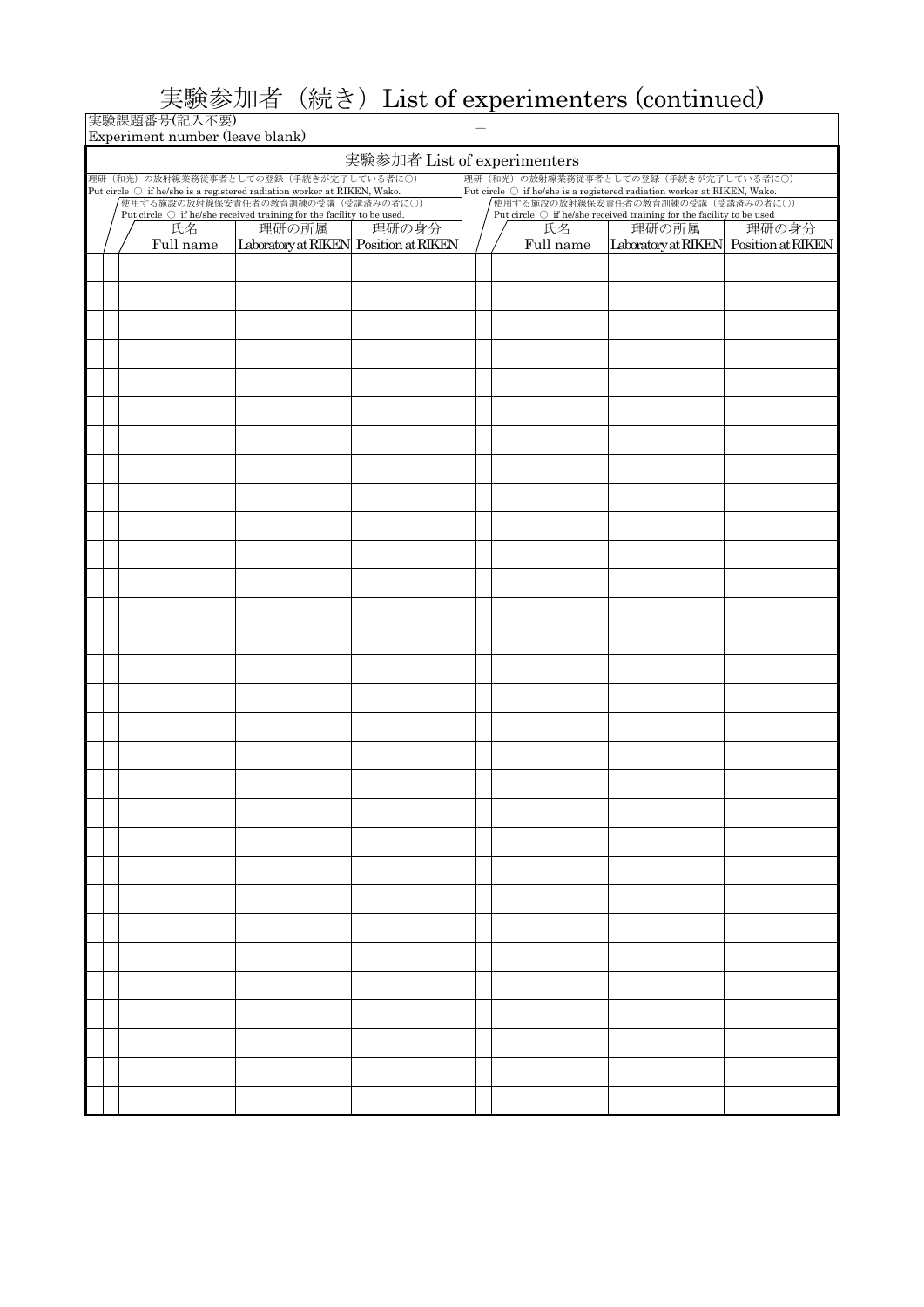## 実験参加者(続き)List of experimenters (continued)

|                             | 実験課題番号(記入不要)<br>Experiment number (leave blank) |                 |                                                                                                                       |       |  |                                                                                                                           |                 |                                                |       |  |  |
|-----------------------------|-------------------------------------------------|-----------------|-----------------------------------------------------------------------------------------------------------------------|-------|--|---------------------------------------------------------------------------------------------------------------------------|-----------------|------------------------------------------------|-------|--|--|
| 実験参加者 List of experimenters |                                                 |                 |                                                                                                                       |       |  |                                                                                                                           |                 |                                                |       |  |  |
|                             |                                                 |                 | 理研(和光)の放射線業務従事者としての登録(手続きが完了している者に〇)                                                                                  |       |  |                                                                                                                           |                 | 理研(和光)の放射線業務従事者としての登録(手続きが完了している者に〇)           |       |  |  |
|                             |                                                 |                 | Put circle $\bigcirc$ if he/she is a registered radiation worker at RIKEN, Wako.<br>使用する施設の放射線保安責任者の教育訓練の受講(受講済みの者に〇) |       |  | Put circle $\,\bigcirc\,$ if he/she is a registered radiation worker at RIKEN, Wako.<br>使用する施設の放射線保安責任者の教育訓練の受講(受講済みの者に〇) |                 |                                                |       |  |  |
|                             |                                                 |                 | Put circle $\bigcirc$ if he/she received training for the facility to be used.                                        |       |  | Put circle $\bigcirc$ if he/she received training for the facility to be used                                             |                 |                                                |       |  |  |
|                             |                                                 | 氏名<br>Full name | 理研の所属<br>Laboratory at RIKEN Position at RIKEN                                                                        | 理研の身分 |  |                                                                                                                           | 氏名<br>Full name | 理研の所属<br>Laboratory at RIKEN Position at RIKEN | 理研の身分 |  |  |
|                             |                                                 |                 |                                                                                                                       |       |  |                                                                                                                           |                 |                                                |       |  |  |
|                             |                                                 |                 |                                                                                                                       |       |  |                                                                                                                           |                 |                                                |       |  |  |
|                             |                                                 |                 |                                                                                                                       |       |  |                                                                                                                           |                 |                                                |       |  |  |
|                             |                                                 |                 |                                                                                                                       |       |  |                                                                                                                           |                 |                                                |       |  |  |
|                             |                                                 |                 |                                                                                                                       |       |  |                                                                                                                           |                 |                                                |       |  |  |
|                             |                                                 |                 |                                                                                                                       |       |  |                                                                                                                           |                 |                                                |       |  |  |
|                             |                                                 |                 |                                                                                                                       |       |  |                                                                                                                           |                 |                                                |       |  |  |
|                             |                                                 |                 |                                                                                                                       |       |  |                                                                                                                           |                 |                                                |       |  |  |
|                             |                                                 |                 |                                                                                                                       |       |  |                                                                                                                           |                 |                                                |       |  |  |
|                             |                                                 |                 |                                                                                                                       |       |  |                                                                                                                           |                 |                                                |       |  |  |
|                             |                                                 |                 |                                                                                                                       |       |  |                                                                                                                           |                 |                                                |       |  |  |
|                             |                                                 |                 |                                                                                                                       |       |  |                                                                                                                           |                 |                                                |       |  |  |
|                             |                                                 |                 |                                                                                                                       |       |  |                                                                                                                           |                 |                                                |       |  |  |
|                             |                                                 |                 |                                                                                                                       |       |  |                                                                                                                           |                 |                                                |       |  |  |
|                             |                                                 |                 |                                                                                                                       |       |  |                                                                                                                           |                 |                                                |       |  |  |
|                             |                                                 |                 |                                                                                                                       |       |  |                                                                                                                           |                 |                                                |       |  |  |
|                             |                                                 |                 |                                                                                                                       |       |  |                                                                                                                           |                 |                                                |       |  |  |
|                             |                                                 |                 |                                                                                                                       |       |  |                                                                                                                           |                 |                                                |       |  |  |
|                             |                                                 |                 |                                                                                                                       |       |  |                                                                                                                           |                 |                                                |       |  |  |
|                             |                                                 |                 |                                                                                                                       |       |  |                                                                                                                           |                 |                                                |       |  |  |
|                             |                                                 |                 |                                                                                                                       |       |  |                                                                                                                           |                 |                                                |       |  |  |
|                             |                                                 |                 |                                                                                                                       |       |  |                                                                                                                           |                 |                                                |       |  |  |
|                             |                                                 |                 |                                                                                                                       |       |  |                                                                                                                           |                 |                                                |       |  |  |
|                             |                                                 |                 |                                                                                                                       |       |  |                                                                                                                           |                 |                                                |       |  |  |
|                             |                                                 |                 |                                                                                                                       |       |  |                                                                                                                           |                 |                                                |       |  |  |
|                             |                                                 |                 |                                                                                                                       |       |  |                                                                                                                           |                 |                                                |       |  |  |
|                             |                                                 |                 |                                                                                                                       |       |  |                                                                                                                           |                 |                                                |       |  |  |
|                             |                                                 |                 |                                                                                                                       |       |  |                                                                                                                           |                 |                                                |       |  |  |
|                             |                                                 |                 |                                                                                                                       |       |  |                                                                                                                           |                 |                                                |       |  |  |
|                             |                                                 |                 |                                                                                                                       |       |  |                                                                                                                           |                 |                                                |       |  |  |
|                             |                                                 |                 |                                                                                                                       |       |  |                                                                                                                           |                 |                                                |       |  |  |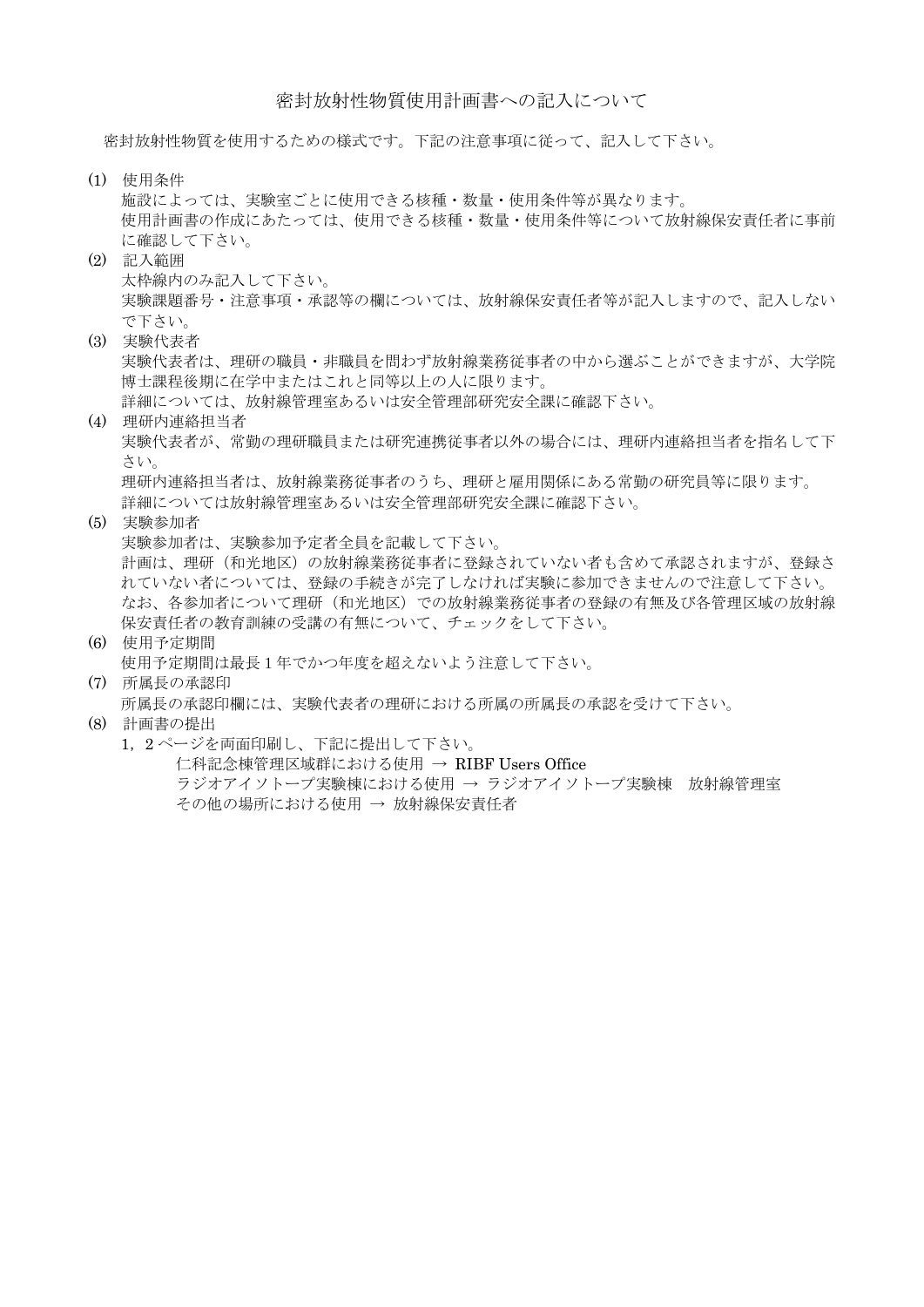## 密封放射性物質使用計画書への記入について

密封放射性物質を使用するための様式です。下記の注意事項に従って、記入して下さい。

(1) 使用条件

施設によっては、実験室ごとに使用できる核種・数量・使用条件等が異なります。 使用計画書の作成にあたっては、使用できる核種・数量・使用条件等について放射線保安責任者に事前 に確認して下さい。

- (2) 記入範囲 太枠線内のみ記入して下さい。 実験課題番号・注意事項・承認等の欄については、放射線保安責任者等が記入しますので、記入しない で下さい。
- (3) 実験代表者

実験代表者は、理研の職員・非職員を問わず放射線業務従事者の中から選ぶことができますが、大学院 博士課程後期に在学中またはこれと同等以上の人に限ります。

詳細については、放射線管理室あるいは安全管理部研究安全課に確認下さい。

(4) 理研内連絡担当者

実験代表者が、常勤の理研職員または研究連携従事者以外の場合には、理研内連絡担当者を指名して下 さい。

理研内連絡担当者は、放射線業務従事者のうち、理研と雇用関係にある常勤の研究員等に限ります。 詳細については放射線管理室あるいは安全管理部研究安全課に確認下さい。

(5) 実験参加者

実験参加者は、実験参加予定者全員を記載して下さい。 計画は、理研(和光地区)の放射線業務従事者に登録されていない者も含めて承認されますが、登録さ れていない者については、登録の手続きが完了しなければ実験に参加できませんので注意して下さい。 なお、各参加者について理研(和光地区)での放射線業務従事者の登録の有無及び各管理区域の放射線 保安責任者の教育訓練の受講の有無について、チェックをして下さい。

(6) 使用予定期間 使用予定期間は最長1年でかつ年度を超えないよう注意して下さい。

## (7) 所属長の承認印 所属長の承認印欄には、実験代表者の理研における所属の所属長の承認を受けて下さい。

- (8) 計画書の提出
	- 1, 2ページを両面印刷し、下記に提出して下さい。 仁科記念棟管理区域群における使用 → RIBF Users Office ラジオアイソトープ実験棟における使用 → ラジオアイソトープ実験棟 放射線管理室 その他の場所における使用 → 放射線保安責任者